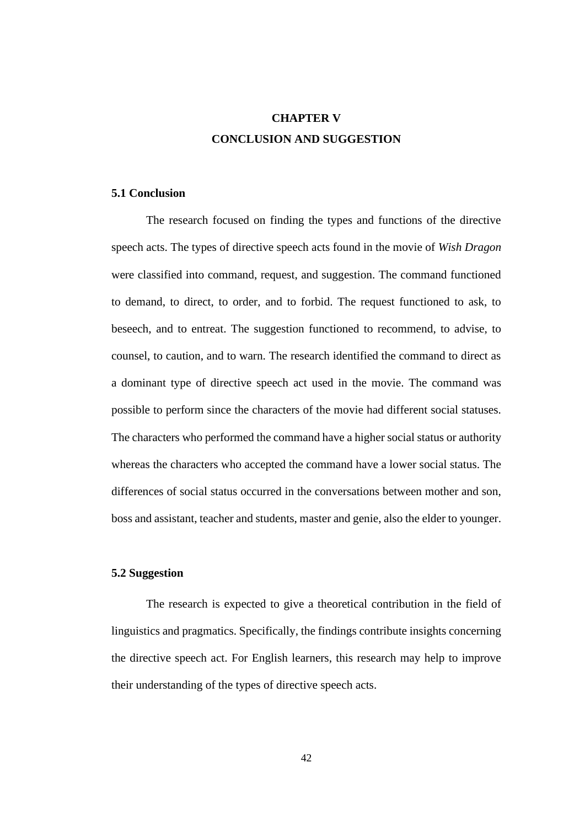## **CHAPTER V CONCLUSION AND SUGGESTION**

## **5.1 Conclusion**

The research focused on finding the types and functions of the directive speech acts. The types of directive speech acts found in the movie of *Wish Dragon*  were classified into command, request, and suggestion. The command functioned to demand, to direct, to order, and to forbid. The request functioned to ask, to beseech, and to entreat. The suggestion functioned to recommend, to advise, to counsel, to caution, and to warn. The research identified the command to direct as a dominant type of directive speech act used in the movie. The command was possible to perform since the characters of the movie had different social statuses. The characters who performed the command have a higher social status or authority whereas the characters who accepted the command have a lower social status. The differences of social status occurred in the conversations between mother and son, boss and assistant, teacher and students, master and genie, also the elder to younger.

## **5.2 Suggestion**

The research is expected to give a theoretical contribution in the field of linguistics and pragmatics. Specifically, the findings contribute insights concerning the directive speech act. For English learners, this research may help to improve their understanding of the types of directive speech acts.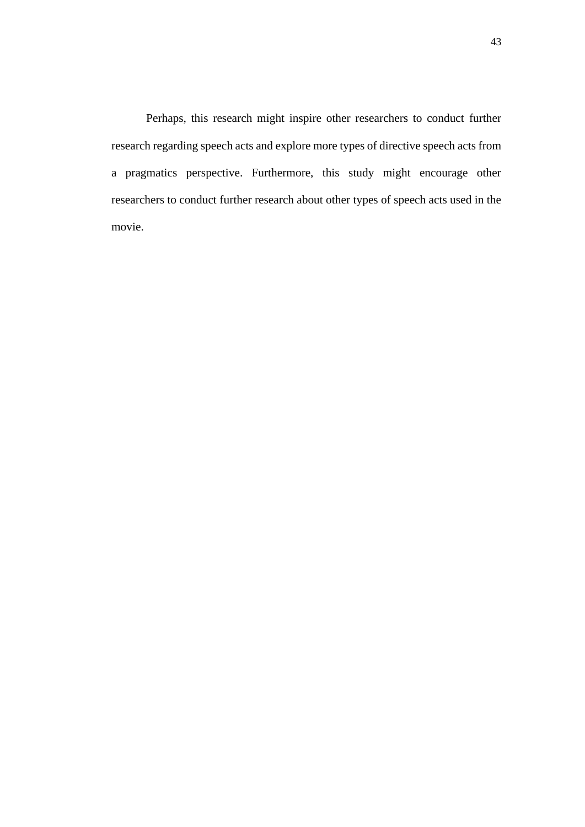Perhaps, this research might inspire other researchers to conduct further research regarding speech acts and explore more types of directive speech acts from a pragmatics perspective. Furthermore, this study might encourage other researchers to conduct further research about other types of speech acts used in the movie.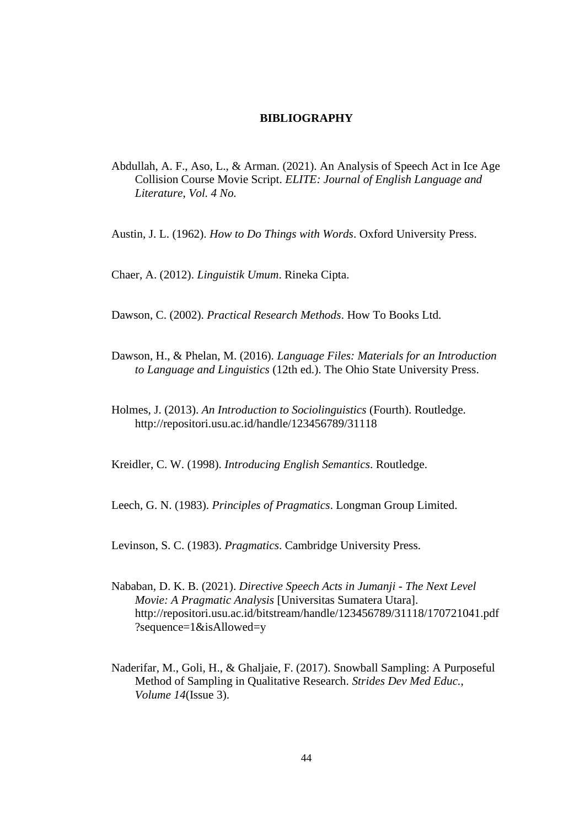## **BIBLIOGRAPHY**

Abdullah, A. F., Aso, L., & Arman. (2021). An Analysis of Speech Act in Ice Age Collision Course Movie Script. *ELITE: Journal of English Language and Literature*, *Vol. 4 No.*

Austin, J. L. (1962). *How to Do Things with Words*. Oxford University Press.

Chaer, A. (2012). *Linguistik Umum*. Rineka Cipta.

Dawson, C. (2002). *Practical Research Methods*. How To Books Ltd.

- Dawson, H., & Phelan, M. (2016). *Language Files: Materials for an Introduction to Language and Linguistics* (12th ed.). The Ohio State University Press.
- Holmes, J. (2013). *An Introduction to Sociolinguistics* (Fourth). Routledge. http://repositori.usu.ac.id/handle/123456789/31118

Kreidler, C. W. (1998). *Introducing English Semantics*. Routledge.

Leech, G. N. (1983). *Principles of Pragmatics*. Longman Group Limited.

Levinson, S. C. (1983). *Pragmatics*. Cambridge University Press.

- Nababan, D. K. B. (2021). *Directive Speech Acts in Jumanji - The Next Level Movie: A Pragmatic Analysis* [Universitas Sumatera Utara]. http://repositori.usu.ac.id/bitstream/handle/123456789/31118/170721041.pdf ?sequence=1&isAllowed=y
- Naderifar, M., Goli, H., & Ghaljaie, F. (2017). Snowball Sampling: A Purposeful Method of Sampling in Qualitative Research. *Strides Dev Med Educ.*, *Volume 14*(Issue 3).